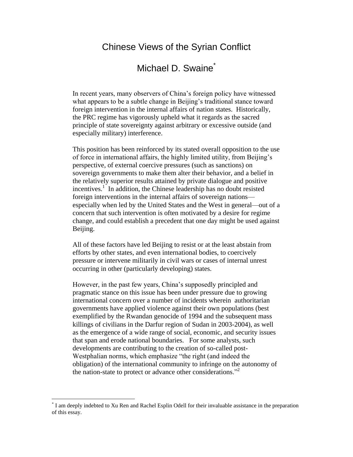## Chinese Views of the Syrian Conflict

# Michael D. Swaine<sup>\*</sup>

In recent years, many observers of China's foreign policy have witnessed what appears to be a subtle change in Beijing's traditional stance toward foreign intervention in the internal affairs of nation states. Historically, the PRC regime has vigorously upheld what it regards as the sacred principle of state sovereignty against arbitrary or excessive outside (and especially military) interference.

This position has been reinforced by its stated overall opposition to the use of force in international affairs, the highly limited utility, from Beijing's perspective, of external coercive pressures (such as sanctions) on sovereign governments to make them alter their behavior, and a belief in the relatively superior results attained by private dialogue and positive incentives.<sup>1</sup> In addition, the Chinese leadership has no doubt resisted foreign interventions in the internal affairs of sovereign nations especially when led by the United States and the West in general—out of a concern that such intervention is often motivated by a desire for regime change, and could establish a precedent that one day might be used against Beijing.

All of these factors have led Beijing to resist or at the least abstain from efforts by other states, and even international bodies, to coercively pressure or intervene militarily in civil wars or cases of internal unrest occurring in other (particularly developing) states.

However, in the past few years, China's supposedly principled and pragmatic stance on this issue has been under pressure due to growing international concern over a number of incidents wherein authoritarian governments have applied violence against their own populations (best exemplified by the Rwandan genocide of 1994 and the subsequent mass killings of civilians in the Darfur region of Sudan in 2003-2004), as well as the emergence of a wide range of social, economic, and security issues that span and erode national boundaries. For some analysts, such developments are contributing to the creation of so-called post-Westphalian norms, which emphasize "the right (and indeed the obligation) of the international community to infringe on the autonomy of the nation-state to protect or advance other considerations. $^{2}$ 

 $\overline{a}$ 

<sup>\*</sup> I am deeply indebted to Xu Ren and Rachel Esplin Odell for their invaluable assistance in the preparation of this essay.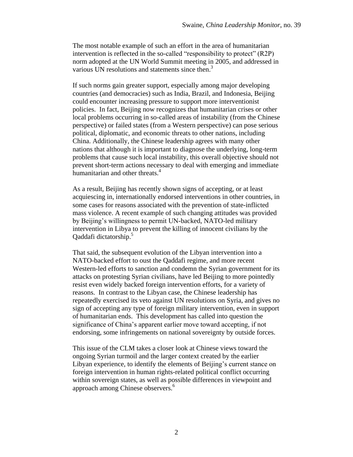The most notable example of such an effort in the area of humanitarian intervention is reflected in the so-called "responsibility to protect" (R2P) norm adopted at the UN World Summit meeting in 2005, and addressed in various UN resolutions and statements since then.<sup>3</sup>

If such norms gain greater support, especially among major developing countries (and democracies) such as India, Brazil, and Indonesia, Beijing could encounter increasing pressure to support more interventionist policies. In fact, Beijing now recognizes that humanitarian crises or other local problems occurring in so-called areas of instability (from the Chinese perspective) or failed states (from a Western perspective) can pose serious political, diplomatic, and economic threats to other nations, including China. Additionally, the Chinese leadership agrees with many other nations that although it is important to diagnose the underlying, long-term problems that cause such local instability, this overall objective should not prevent short-term actions necessary to deal with emerging and immediate humanitarian and other threats.<sup>4</sup>

As a result, Beijing has recently shown signs of accepting, or at least acquiescing in, internationally endorsed interventions in other countries, in some cases for reasons associated with the prevention of state-inflicted mass violence. A recent example of such changing attitudes was provided by Beijing's willingness to permit UN-backed, NATO-led military intervention in Libya to prevent the killing of innocent civilians by the Qaddafi dictatorship.<sup>5</sup>

That said, the subsequent evolution of the Libyan intervention into a NATO-backed effort to oust the Qaddafi regime, and more recent Western-led efforts to sanction and condemn the Syrian government for its attacks on protesting Syrian civilians, have led Beijing to more pointedly resist even widely backed foreign intervention efforts, for a variety of reasons. In contrast to the Libyan case, the Chinese leadership has repeatedly exercised its veto against UN resolutions on Syria, and gives no sign of accepting any type of foreign military intervention, even in support of humanitarian ends. This development has called into question the significance of China's apparent earlier move toward accepting, if not endorsing, some infringements on national sovereignty by outside forces.

This issue of the CLM takes a closer look at Chinese views toward the ongoing Syrian turmoil and the larger context created by the earlier Libyan experience, to identify the elements of Beijing's current stance on foreign intervention in human rights-related political conflict occurring within sovereign states, as well as possible differences in viewpoint and approach among Chinese observers.<sup>6</sup>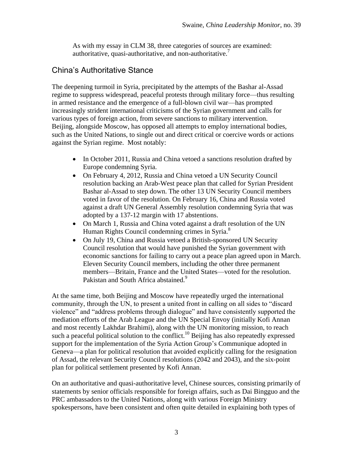As with my essay in CLM 38, three categories of sources are examined: authoritative, quasi-authoritative, and non-authoritative. $\frac{7}{1}$ 

### China's Authoritative Stance

The deepening turmoil in Syria, precipitated by the attempts of the Bashar al-Assad regime to suppress widespread, peaceful protests through military force—thus resulting in armed resistance and the emergence of a full-blown civil war—has prompted increasingly strident international criticisms of the Syrian government and calls for various types of foreign action, from severe sanctions to military intervention. Beijing, alongside Moscow, has opposed all attempts to employ international bodies, such as the United Nations, to single out and direct critical or coercive words or actions against the Syrian regime. Most notably:

- In October 2011, Russia and China vetoed a sanctions resolution drafted by Europe condemning Syria.
- On February 4, 2012, Russia and China vetoed a UN Security Council resolution backing an Arab-West peace plan that called for Syrian President Bashar al-Assad to step down. The other 13 UN Security Council members voted in favor of the resolution. On February 16, China and Russia voted against a draft UN General Assembly resolution condemning Syria that was adopted by a 137-12 margin with 17 abstentions.
- On March 1, Russia and China voted against a draft resolution of the UN Human Rights Council condemning crimes in Syria.<sup>8</sup>
- On July 19, China and Russia vetoed a British-sponsored UN Security Council resolution that would have punished the Syrian government with economic sanctions for failing to carry out a peace plan agreed upon in March. Eleven Security Council members, including the other three permanent members—Britain, France and the United States—voted for the resolution. Pakistan and South Africa abstained.<sup>9</sup>

At the same time, both Beijing and Moscow have repeatedly urged the international community, through the UN, to present a united front in calling on all sides to "discard" violence" and "address problems through dialogue" and have consistently supported the mediation efforts of the Arab League and the UN Special Envoy (initially Kofi Annan and most recently Lakhdar Brahimi), along with the UN monitoring mission, to reach such a peaceful political solution to the conflict.<sup>10</sup> Beijing has also repeatedly expressed support for the implementation of the Syria Action Group's Communique adopted in Geneva—a plan for political resolution that avoided explicitly calling for the resignation of Assad, the relevant Security Council resolutions (2042 and 2043), and the six-point plan for political settlement presented by Kofi Annan.

On an authoritative and quasi-authoritative level, Chinese sources, consisting primarily of statements by senior officials responsible for foreign affairs, such as Dai Bingguo and the PRC ambassadors to the United Nations, along with various Foreign Ministry spokespersons, have been consistent and often quite detailed in explaining both types of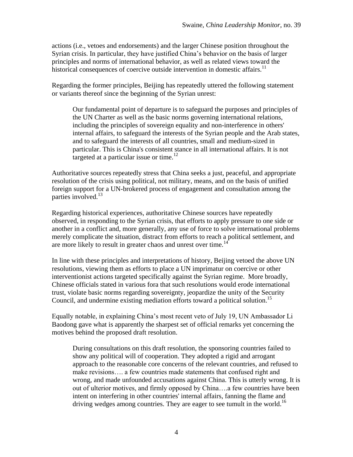actions (i.e., vetoes and endorsements) and the larger Chinese position throughout the Syrian crisis. In particular, they have justified China's behavior on the basis of larger principles and norms of international behavior, as well as related views toward the historical consequences of coercive outside intervention in domestic affairs.<sup>11</sup>

Regarding the former principles, Beijing has repeatedly uttered the following statement or variants thereof since the beginning of the Syrian unrest:

Our fundamental point of departure is to safeguard the purposes and principles of the UN Charter as well as the basic norms governing international relations, including the principles of sovereign equality and non-interference in others' internal affairs, to safeguard the interests of the Syrian people and the Arab states, and to safeguard the interests of all countries, small and medium-sized in particular. This is China's consistent stance in all international affairs. It is not targeted at a particular issue or time.<sup>12</sup>

Authoritative sources repeatedly stress that China seeks a just, peaceful, and appropriate resolution of the crisis using political, not military, means, and on the basis of unified foreign support for a UN-brokered process of engagement and consultation among the parties involved. $^{13}$ 

Regarding historical experiences, authoritative Chinese sources have repeatedly observed, in responding to the Syrian crisis, that efforts to apply pressure to one side or another in a conflict and, more generally, any use of force to solve international problems merely complicate the situation, distract from efforts to reach a political settlement, and are more likely to result in greater chaos and unrest over time.<sup>14</sup>

In line with these principles and interpretations of history, Beijing vetoed the above UN resolutions, viewing them as efforts to place a UN imprimatur on coercive or other interventionist actions targeted specifically against the Syrian regime. More broadly, Chinese officials stated in various fora that such resolutions would erode international trust, violate basic norms regarding sovereignty, jeopardize the unity of the Security Council, and undermine existing mediation efforts toward a political solution. 15

Equally notable, in explaining China's most recent veto of July 19, UN Ambassador Li Baodong gave what is apparently the sharpest set of official remarks yet concerning the motives behind the proposed draft resolution.

During consultations on this draft resolution, the sponsoring countries failed to show any political will of cooperation. They adopted a rigid and arrogant approach to the reasonable core concerns of the relevant countries, and refused to make revisions…. a few countries made statements that confused right and wrong, and made unfounded accusations against China. This is utterly wrong. It is out of ulterior motives, and firmly opposed by China….a few countries have been intent on interfering in other countries' internal affairs, fanning the flame and driving wedges among countries. They are eager to see tumult in the world.<sup>16</sup>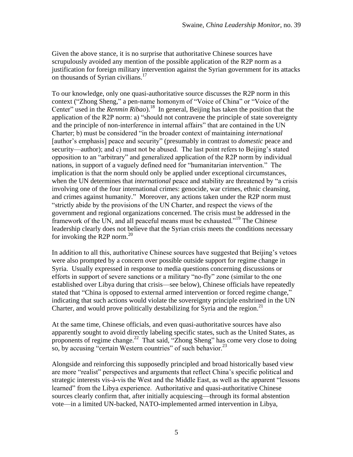Given the above stance, it is no surprise that authoritative Chinese sources have scrupulously avoided any mention of the possible application of the R2P norm as a justification for foreign military intervention against the Syrian government for its attacks on thousands of Syrian civilians. $17$ 

To our knowledge, only one quasi-authoritative source discusses the R2P norm in this context ("Zhong Sheng," a pen-name homonym of "Voice of China" or "Voice of the Center" used in the *Renmin Ribao*).<sup>18</sup> In general, Beijing has taken the position that the application of the R2P norm: a) "should not contravene the principle of state sovereignty and the principle of non-interference in internal affairs" that are contained in the UN Charter; b) must be considered "in the broader context of maintaining *international* [author's emphasis] peace and security" (presumably in contrast to *domestic* peace and security—author); and c) must not be abused. The last point refers to Beijing's stated opposition to an "arbitrary" and generalized application of the R2P norm by individual nations, in support of a vaguely defined need for "humanitarian intervention." The implication is that the norm should only be applied under exceptional circumstances, when the UN determines that *international* peace and stability are threatened by "a crisis" involving one of the four international crimes: genocide, war crimes, ethnic cleansing, and crimes against humanity." Moreover, any actions taken under the R2P norm must ―strictly abide by the provisions of the UN Charter, and respect the views of the government and regional organizations concerned. The crisis must be addressed in the framework of the UN, and all peaceful means must be exhausted."<sup>19</sup> The Chinese leadership clearly does not believe that the Syrian crisis meets the conditions necessary for invoking the R2P norm.<sup>20</sup>

In addition to all this, authoritative Chinese sources have suggested that Beijing's vetoes were also prompted by a concern over possible outside support for regime change in Syria. Usually expressed in response to media questions concerning discussions or efforts in support of severe sanctions or a military "no-fly" zone (similar to the one established over Libya during that crisis—see below), Chinese officials have repeatedly stated that "China is opposed to external armed intervention or forced regime change," indicating that such actions would violate the sovereignty principle enshrined in the UN Charter, and would prove politically destabilizing for Syria and the region.<sup>21</sup>

At the same time, Chinese officials, and even quasi-authoritative sources have also apparently sought to avoid directly labeling specific states, such as the United States, as proponents of regime change.<sup>22</sup> That said, "Zhong Sheng" has come very close to doing so, by accusing "certain Western countries" of such behavior. $^{23}$ 

Alongside and reinforcing this supposedly principled and broad historically based view are more "realist" perspectives and arguments that reflect China's specific political and strategic interests vis-à-vis the West and the Middle East, as well as the apparent "lessons" learned" from the Libya experience. Authoritative and quasi-authoritative Chinese sources clearly confirm that, after initially acquiescing—through its formal abstention vote—in a limited UN-backed, NATO-implemented armed intervention in Libya,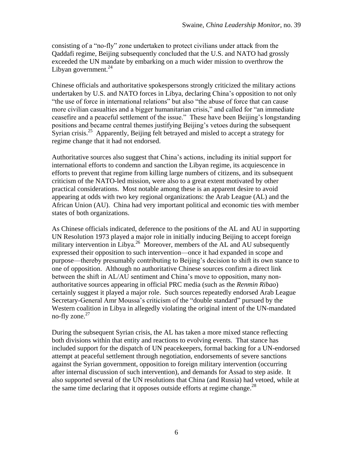consisting of a "no-fly" zone undertaken to protect civilians under attack from the Qaddafi regime, Beijing subsequently concluded that the U.S. and NATO had grossly exceeded the UN mandate by embarking on a much wider mission to overthrow the Libyan government. $^{24}$ 

Chinese officials and authoritative spokespersons strongly criticized the military actions undertaken by U.S. and NATO forces in Libya, declaring China's opposition to not only "the use of force in international relations" but also "the abuse of force that can cause more civilian casualties and a bigger humanitarian crisis," and called for "an immediate ceasefire and a peaceful settlement of the issue." These have been Beijing's longstanding positions and became central themes justifying Beijing's vetoes during the subsequent Syrian crisis.<sup>25</sup> Apparently, Beijing felt betrayed and misled to accept a strategy for regime change that it had not endorsed.

Authoritative sources also suggest that China's actions, including its initial support for international efforts to condemn and sanction the Libyan regime, its acquiescence in efforts to prevent that regime from killing large numbers of citizens, and its subsequent criticism of the NATO-led mission, were also to a great extent motivated by other practical considerations. Most notable among these is an apparent desire to avoid appearing at odds with two key regional organizations: the Arab League (AL) and the African Union (AU). China had very important political and economic ties with member states of both organizations.

As Chinese officials indicated, deference to the positions of the AL and AU in supporting UN Resolution 1973 played a major role in initially inducing Beijing to accept foreign military intervention in Libya.<sup>26</sup> Moreover, members of the AL and AU subsequently expressed their opposition to such intervention—once it had expanded in scope and purpose—thereby presumably contributing to Beijing's decision to shift its own stance to one of opposition. Although no authoritative Chinese sources confirm a direct link between the shift in AL/AU sentiment and China's move to opposition, many nonauthoritative sources appearing in official PRC media (such as the *Renmin Ribao*) certainly suggest it played a major role. Such sources repeatedly endorsed Arab League Secretary-General Amr Moussa's criticism of the "double standard" pursued by the Western coalition in Libya in allegedly violating the original intent of the UN-mandated no-fly zone. $27$ 

During the subsequent Syrian crisis, the AL has taken a more mixed stance reflecting both divisions within that entity and reactions to evolving events. That stance has included support for the dispatch of UN peacekeepers, formal backing for a UN-endorsed attempt at peaceful settlement through negotiation, endorsements of severe sanctions against the Syrian government, opposition to foreign military intervention (occurring after internal discussion of such intervention), and demands for Assad to step aside. It also supported several of the UN resolutions that China (and Russia) had vetoed, while at the same time declaring that it opposes outside efforts at regime change.<sup>28</sup>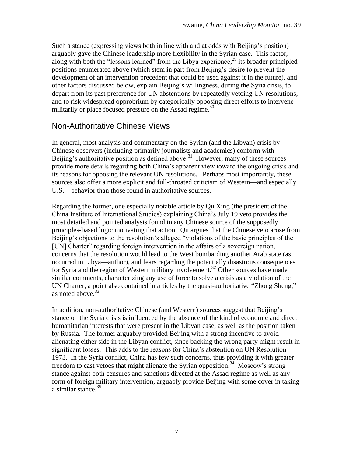Such a stance (expressing views both in line with and at odds with Beijing's position) arguably gave the Chinese leadership more flexibility in the Syrian case. This factor, along with both the "lessons learned" from the Libya experience, $^{29}$  its broader principled positions enumerated above (which stem in part from Beijing's desire to prevent the development of an intervention precedent that could be used against it in the future), and other factors discussed below, explain Beijing's willingness, during the Syria crisis, to depart from its past preference for UN abstentions by repeatedly vetoing UN resolutions, and to risk widespread opprobrium by categorically opposing direct efforts to intervene militarily or place focused pressure on the Assad regime.<sup>30</sup>

#### Non-Authoritative Chinese Views

In general, most analysis and commentary on the Syrian (and the Libyan) crisis by Chinese observers (including primarily journalists and academics) conform with Beijing's authoritative position as defined above.<sup>31</sup> However, many of these sources provide more details regarding both China's apparent view toward the ongoing crisis and its reasons for opposing the relevant UN resolutions. Perhaps most importantly, these sources also offer a more explicit and full-throated criticism of Western—and especially U.S.—behavior than those found in authoritative sources.

Regarding the former, one especially notable article by Qu Xing (the president of the China Institute of International Studies) explaining China's July 19 veto provides the most detailed and pointed analysis found in any Chinese source of the supposedly principles-based logic motivating that action. Qu argues that the Chinese veto arose from Beijing's objections to the resolution's alleged "violations of the basic principles of the [UN] Charter" regarding foreign intervention in the affairs of a sovereign nation, concerns that the resolution would lead to the West bombarding another Arab state (as occurred in Libya—author), and fears regarding the potentially disastrous consequences for Syria and the region of Western military involvement.<sup>32</sup> Other sources have made similar comments, characterizing any use of force to solve a crisis as a violation of the UN Charter, a point also contained in articles by the quasi-authoritative "Zhong Sheng," as noted above. $33$ 

In addition, non-authoritative Chinese (and Western) sources suggest that Beijing's stance on the Syria crisis is influenced by the absence of the kind of economic and direct humanitarian interests that were present in the Libyan case, as well as the position taken by Russia. The former arguably provided Beijing with a strong incentive to avoid alienating either side in the Libyan conflict, since backing the wrong party might result in significant losses. This adds to the reasons for China's abstention on UN Resolution 1973. In the Syria conflict, China has few such concerns, thus providing it with greater freedom to cast vetoes that might alienate the Syrian opposition.<sup>34</sup> Moscow's strong stance against both censures and sanctions directed at the Assad regime as well as any form of foreign military intervention, arguably provide Beijing with some cover in taking a similar stance. 35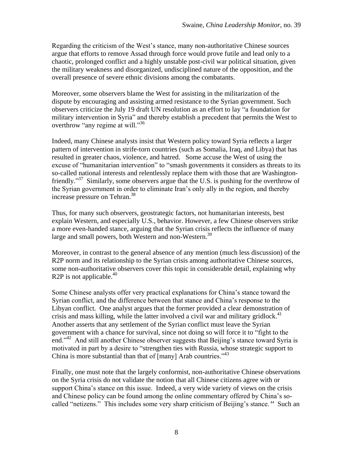Regarding the criticism of the West's stance, many non-authoritative Chinese sources argue that efforts to remove Assad through force would prove futile and lead only to a chaotic, prolonged conflict and a highly unstable post-civil war political situation, given the military weakness and disorganized, undisciplined nature of the opposition, and the overall presence of severe ethnic divisions among the combatants.

Moreover, some observers blame the West for assisting in the militarization of the dispute by encouraging and assisting armed resistance to the Syrian government. Such observers criticize the July 19 draft UN resolution as an effort to lay "a foundation for military intervention in Syria" and thereby establish a precedent that permits the West to overthrow "any regime at will."<sup>36</sup>

Indeed, many Chinese analysts insist that Western policy toward Syria reflects a larger pattern of intervention in strife-torn countries (such as Somalia, Iraq, and Libya) that has resulted in greater chaos, violence, and hatred. Some accuse the West of using the excuse of "humanitarian intervention" to "smash governments it considers as threats to its so-called national interests and relentlessly replace them with those that are Washingtonfriendly."<sup>37</sup> Similarly, some observers argue that the U.S. is pushing for the overthrow of the Syrian government in order to eliminate Iran's only ally in the region, and thereby increase pressure on Tehran.<sup>38</sup>

Thus, for many such observers, geostrategic factors, not humanitarian interests, best explain Western, and especially U.S., behavior. However, a few Chinese observers strike a more even-handed stance, arguing that the Syrian crisis reflects the influence of many large and small powers, both Western and non-Western.<sup>39</sup>

Moreover, in contrast to the general absence of any mention (much less discussion) of the R<sub>2</sub>P norm and its relationship to the Syrian crisis among authoritative Chinese sources, some non-authoritative observers cover this topic in considerable detail, explaining why R2P is not applicable.<sup>40</sup>

Some Chinese analysts offer very practical explanations for China's stance toward the Syrian conflict, and the difference between that stance and China's response to the Libyan conflict. One analyst argues that the former provided a clear demonstration of crisis and mass killing, while the latter involved a civil war and military gridlock. $41$ Another asserts that any settlement of the Syrian conflict must leave the Syrian government with a chance for survival, since not doing so will force it to "fight to the end."<sup>42</sup> And still another Chinese observer suggests that Beijing's stance toward Syria is motivated in part by a desire to "strengthen ties with Russia, whose strategic support to China is more substantial than that of  $\lceil \text{many} \rceil$  Arab countries.<sup> $143$ </sup>

Finally, one must note that the largely conformist, non-authoritative Chinese observations on the Syria crisis do not validate the notion that all Chinese citizens agree with or support China's stance on this issue. Indeed, a very wide variety of views on the crisis and Chinese policy can be found among the online commentary offered by China's socalled "netizens." This includes some very sharp criticism of Beijing's stance.<sup>44</sup> Such an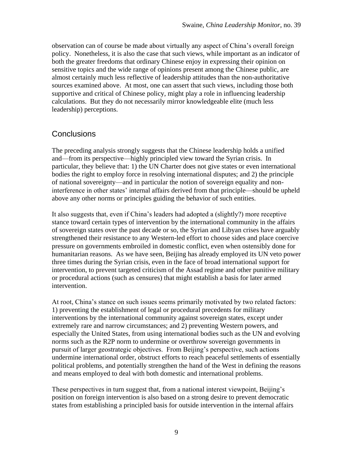observation can of course be made about virtually any aspect of China's overall foreign policy. Nonetheless, it is also the case that such views, while important as an indicator of both the greater freedoms that ordinary Chinese enjoy in expressing their opinion on sensitive topics and the wide range of opinions present among the Chinese public, are almost certainly much less reflective of leadership attitudes than the non-authoritative sources examined above. At most, one can assert that such views, including those both supportive and critical of Chinese policy, might play a role in influencing leadership calculations. But they do not necessarily mirror knowledgeable elite (much less leadership) perceptions.

## **Conclusions**

The preceding analysis strongly suggests that the Chinese leadership holds a unified and—from its perspective—highly principled view toward the Syrian crisis. In particular, they believe that: 1) the UN Charter does not give states or even international bodies the right to employ force in resolving international disputes; and 2) the principle of national sovereignty—and in particular the notion of sovereign equality and noninterference in other states' internal affairs derived from that principle—should be upheld above any other norms or principles guiding the behavior of such entities.

It also suggests that, even if China's leaders had adopted a (slightly?) more receptive stance toward certain types of intervention by the international community in the affairs of sovereign states over the past decade or so, the Syrian and Libyan crises have arguably strengthened their resistance to any Western-led effort to choose sides and place coercive pressure on governments embroiled in domestic conflict, even when ostensibly done for humanitarian reasons. As we have seen, Beijing has already employed its UN veto power three times during the Syrian crisis, even in the face of broad international support for intervention, to prevent targeted criticism of the Assad regime and other punitive military or procedural actions (such as censures) that might establish a basis for later armed intervention.

At root, China's stance on such issues seems primarily motivated by two related factors: 1) preventing the establishment of legal or procedural precedents for military interventions by the international community against sovereign states, except under extremely rare and narrow circumstances; and 2) preventing Western powers, and especially the United States, from using international bodies such as the UN and evolving norms such as the R2P norm to undermine or overthrow sovereign governments in pursuit of larger geostrategic objectives. From Beijing's perspective, such actions undermine international order, obstruct efforts to reach peaceful settlements of essentially political problems, and potentially strengthen the hand of the West in defining the reasons and means employed to deal with both domestic and international problems.

These perspectives in turn suggest that, from a national interest viewpoint, Beijing's position on foreign intervention is also based on a strong desire to prevent democratic states from establishing a principled basis for outside intervention in the internal affairs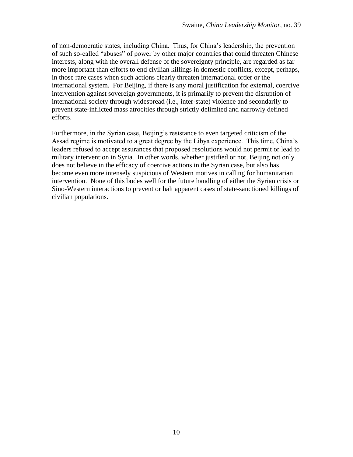of non-democratic states, including China. Thus, for China's leadership, the prevention of such so-called "abuses" of power by other major countries that could threaten Chinese interests, along with the overall defense of the sovereignty principle, are regarded as far more important than efforts to end civilian killings in domestic conflicts, except, perhaps, in those rare cases when such actions clearly threaten international order or the international system. For Beijing, if there is any moral justification for external, coercive intervention against sovereign governments, it is primarily to prevent the disruption of international society through widespread (i.e., inter-state) violence and secondarily to prevent state-inflicted mass atrocities through strictly delimited and narrowly defined efforts.

Furthermore, in the Syrian case, Beijing's resistance to even targeted criticism of the Assad regime is motivated to a great degree by the Libya experience. This time, China's leaders refused to accept assurances that proposed resolutions would not permit or lead to military intervention in Syria. In other words, whether justified or not, Beijing not only does not believe in the efficacy of coercive actions in the Syrian case, but also has become even more intensely suspicious of Western motives in calling for humanitarian intervention. None of this bodes well for the future handling of either the Syrian crisis or Sino-Western interactions to prevent or halt apparent cases of state-sanctioned killings of civilian populations.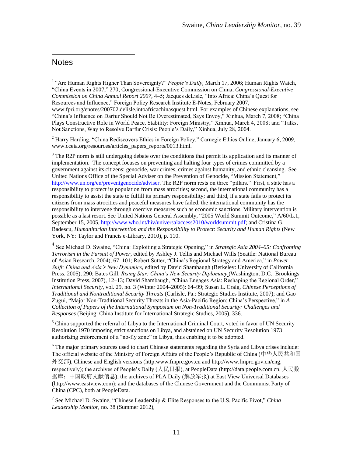#### **Notes**

 $\overline{a}$ 

<sup>1</sup> "Are Human Rights Higher Than Sovereignty?" People's Daily, March 17, 2006; Human Rights Watch, ―China Events in 2007,‖ 270; Congressional-Executive Commission on China, *Congressional-Executive Commission on China Annual Report 2007*, 4–5; Jacques deLisle, "Into Africa: China's Quest for Resources and Influence," Foreign Policy Research Institute E-Notes, February 2007, www.fpri.org/enotes/200702.delisle.intoafricachinasquest.html. For examples of Chinese explanations, see "China's Influence on Darfur Should Not Be Overestimated, Says Envoy," Xinhua, March 7, 2008; "China Plays Constructive Role in World Peace, Stability: Foreign Ministry," Xinhua, March 4, 2008; and "Talks, Not Sanctions, Way to Resolve Darfur Crisis: People's Daily," Xinhua, July 28, 2004.

<sup>2</sup> Harry Harding, "China Rediscovers Ethics in Foreign Policy," Carnegie Ethics Online, January 6, 2009, www.cceia.org/resources/articles\_papers\_reports/0013.html.

 $3$  The R2P norm is still undergoing debate over the conditions that permit its application and its manner of implementation. The concept focuses on preventing and halting four types of crimes committed by a government against its citizens: genocide, war crimes, crimes against humanity, and ethnic cleansing. See United Nations Office of the Special Adviser on the Prevention of Genocide, "Mission Statement," [http://www.un.org/en/preventgenocide/adviser.](http://www.un.org/en/preventgenocide/adviser) The R2P norm rests on three "pillars." First, a state has a responsibility to protect its population from mass atrocities; second, the international community has a responsibility to assist the state to fulfill its primary responsibility; and third, if a state fails to protect its citizens from mass atrocities and peaceful measures have failed, the international community has the responsibility to intervene through coercive measures such as economic sanctions. Military intervention is possible as a last resort. See United Nations General Assembly, "2005 World Summit Outcome," A/60/L.1, September 15, 2005, [http://www.who.int/hiv/universalaccess2010/worldsummit.pdf;](http://www.who.int/hiv/universalaccess2010/worldsummit.pdf) and Cristina G. Badescu, *Humanitarian Intervention and the Responsibility to Protect: Security and Human Rights* (New York, NY: Taylor and Francis e-Library, 2010), p. 110.

<sup>4</sup> See Michael D. Swaine, "China: Exploiting a Strategic Opening," in *Strategic Asia 2004–05: Confronting Terrorism in the Pursuit of Power*, edited by Ashley J. Tellis and Michael Wills (Seattle: National Bureau of Asian Research, 2004), 67–101; Robert Sutter, "China's Regional Strategy and America," in *Power Shift: China and Asia's New Dynamics*, edited by David Shambaugh (Berkeley: University of California Press, 2005), 290; Bates Gill, *Rising Star: China's New Security Diplomacy* (Washington, D.C.: Brookings Institution Press, 2007), 12–13; David Shambaugh, "China Engages Asia: Reshaping the Regional Order," *International Security*, vol. 29, no. 3 (Winter 2004–2005): 64–99; Susan L. Craig, *Chinese Perceptions of Traditional and Nontraditional Security Threats* (Carlisle, Pa.: Strategic Studies Institute, 2007); and Gao Zugui, "Major Non-Traditional Security Threats in the Asia-Pacific Region: China's Perspective," in *A Collection of Papers of the International Symposium on Non-Traditional Security: Challenges and Responses* (Beijing: China Institute for International Strategic Studies, 2005), 336.

 $<sup>5</sup>$  China supported the referral of Libya to the International Criminal Court, voted in favor of UN Security</sup> Resolution 1970 imposing strict sanctions on Libya, and abstained on UN Security Resolution 1973 authorizing enforcement of a "no-fly zone" in Libya, thus enabling it to be adopted.

 $6$  The major primary sources used to chart Chinese statements regarding the Syria and Libya crises include: The official website of the Ministry of Foreign Affairs of the People's Republic of China (中华人民共和国 外交部), Chinese and English versions (http:www.fmprc.gov.cn and http://www.fmprc.gov.cn/eng, respectively); the archives of People's Daily (人民日报), at PeopleData (http://data.people.com.cn, 人民数 据库:中国政府文献信息); the archives of PLA Daily (解放军报) at East View Universal Databases (http://www.eastview.com); and the databases of the Chinese Government and the Communist Party of China (CPC), both at PeopleData.

<sup>7</sup> See Michael D. Swaine, "Chinese Leadership & Elite Responses to the U.S. Pacific Pivot," China *Leadership Monitor*, no. 38 (Summer 2012),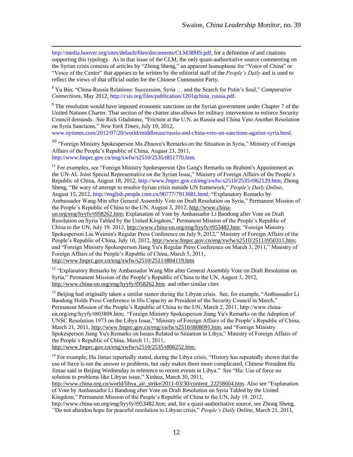[http://media.hoover.org/sites/default/files/documents/CLM38MS.pdf,](http://media.hoover.org/sites/default/files/documents/CLM38MS.pdf) for a definition of and citations supporting this typology. As in that issue of the CLM, the only quasi-authoritative source commenting on the Syrian crisis consists of articles by "Zhong Sheng," an apparent homophone for "Voice of China" or ―Voice of the Center‖ that appears to be written by the editorial staff of the *People's Daily* and is used to reflect the views of that official outlet for the Chinese Communist Party.

 $\overline{a}$ 

<sup>8</sup> Yu Bin, "China-Russia Relations: Succession, Syria ... and the Search for Putin's Soul," *Comparative Connections,* May 2012, [http://csis.org/files/publication/1201qchina\\_russia.pdf.](http://csis.org/files/publication/1201qchina_russia.pdf)

 $9$  The resolution would have imposed economic sanctions on the Syrian government under Chapter 7 of the United Nations Charter. That section of the charter also allows for military intervention to enforce Security Council demands. See Rick Gladstone, "Friction at the U.N. as Russia and China Veto Another Resolution on Syria Sanctions,‖ *New York Times*, July 19, 2012,

[www.nytimes.com/2012/07/20/world/middleeast/russia-and-china-veto-un-sanctions-against-syria.html.](http://www.nytimes.com/2012/07/20/world/middleeast/russia-and-china-veto-un-sanctions-against-syria.html)

<sup>10</sup> "Foreign Ministry Spokesperson Ma Zhaoxu's Remarks on the Situation in Syria," Ministry of Foreign Affairs of the People's Republic of China, August 23, 2011, [http://www.fmprc.gov.cn/eng/xwfw/s2510/2535/t851770.htm.](http://www.fmprc.gov.cn/eng/xwfw/s2510/2535/t851770.htm)

 $<sup>11</sup>$  For examples, see "Foreign Ministry Spokesperson Qin Gang's Remarks on Brahimi's Appointment as</sup> the UN-AL Joint Special Representative on the Syrian Issue," Ministry of Foreign Affairs of the People's Republic of China, August 18, 2012[, http://www.fmprc.gov.cn/eng/xwfw/s2510/2535/t962129.htm;](http://www.fmprc.gov.cn/eng/xwfw/s2510/2535/t962129.htm) Zhong Sheng, "Be wary of attempt to resolve Syrian crisis outside UN framework," *People's Daily Online*, August 15, 2012, [http://english.people.com.cn/90777/7913681.html;](http://english.people.com.cn/90777/7913681.html) "Explanatory Remarks by Ambassador Wang Min after General Assembly Vote on Draft Resolution on Syria," Permanent Mission of

the People's Republic of China to the UN, August 3, 2012, http://www.china-

un.org/eng/hyyfy/t958262.htm; Explanation of Vote by Ambassador Li Baodong after Vote on Draft Resolution on Syria Tabled by the United Kingdom," Permanent Mission of the People's Republic of China to the UN, July 19. 2012, http://www.china-un.org/eng/hyyfy/t953482.htm; "Foreign Ministry Spokesperson Liu Weimin's Regular Press Conference on July 9, 2012," Ministry of Foreign Affairs of the People's Republic of China, July 10, 2012, http://www.fmprc.gov.cn/eng/xwfw/s2510/2511/t950311.htm; and "Foreign Ministry Spokesperson Jiang Yu's Regular Press Conference on March 3, 2011," Ministry of Foreign Affairs of the People's Republic of China, March 5, 2011, http://www.fmprc.gov.cn/eng/xwfw/s2510/2511/t804119.htm

<sup>12</sup> "Explanatory Remarks by Ambassador Wang Min after General Assembly Vote on Draft Resolution on Syria," Permanent Mission of the People's Republic of China to the UN, August 3, 2012, http://www.china-un.org/eng/hyyfy/t958262.htm. and other similar cites

<sup>13</sup> Beijing had originally taken a similar stance during the Libyan crisis. See, for example, "Ambassador Li Baodong Holds Press Conference in His Capacity as President of the Security Council in March," Permanent Mission of the People's Republic of China to the UN, March 2, 2011, http://www.chinaun.org/eng/hyyfy/t803808.htm; "Foreign Ministry Spokesperson Jiang Yu's Remarks on the Adoption of UNSC Resolution 1973 on the Libya Issue," Ministry of Foreign Affairs of the People's Republic of China, March 21, 2011, http://www.fmprc.gov.cn/eng/xwfw/s2510/t808091.htm; and "Foreign Ministry Spokesperson Jiang Yu's Remarks on Issues Related to Situation in Libya," Ministry of Foreign Affairs of the People's Republic of China, March 11, 2011,

http://www.fmprc.gov.cn/eng/xwfw/s2510/2535/t806252.htm.

<sup>14</sup> For example, Hu Jintao reportedly stated, during the Libya crisis, "History has repeatedly shown that the use of force is not the answer to problems, but only makes them more complicated, Chinese President Hu Jintao said in Beijing Wednesday in reference to recent events in Libya." See "Hu: Use of force no solution to problems like Libyan issue," Xinhua, March 30, 2011,

[http://www.china.org.cn/world/libya\\_air\\_strike/2011-03/30/content\\_22258604.htm.](http://www.china.org.cn/world/libya_air_strike/2011-03/30/content_22258604.htm) Also see "Explanation" of Vote by Ambassador Li Baodong after Vote on Draft Resolution on Syria Tabled by the United Kingdom," Permanent Mission of the People's Republic of China to the UN, July 19. 2012,

[http://www.china-un.org/eng/hyyfy/t953482.htm;](http://www.china-un.org/eng/hyyfy/t953482.htm) and, for a quasi-authoritative source, see Zhong Sheng, *"*Do not abandon hope for peaceful resolution to Libyan crisis,‖ *People's Daily Online*, March 21, 2011,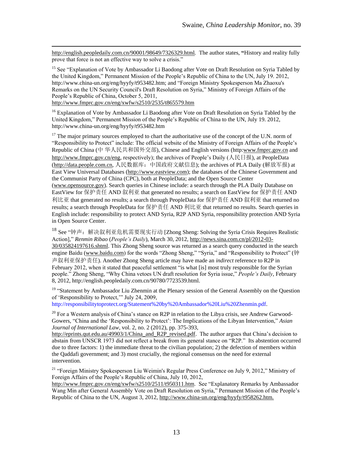<http://english.peopledaily.com.cn/90001/98649/7326329.html>*.* The author states, **"**History and reality fully prove that force is not an effective way to solve a crisis."

<sup>15</sup> See "Explanation of Vote by Ambassador Li Baodong after Vote on Draft Resolution on Syria Tabled by the United Kingdom," Permanent Mission of the People's Republic of China to the UN, July 19. 2012, [http://www.china-un.org/eng/hyyfy/t953482.htm;](http://www.china-un.org/eng/hyyfy/t953482.htm) and "Foreign Ministry Spokesperson Ma Zhaoxu's Remarks on the UN Security Council's Draft Resolution on Syria," Ministry of Foreign Affairs of the People's Republic of China, October 5, 2011,

<http://www.fmprc.gov.cn/eng/xwfw/s2510/2535/t865579.htm>

 $\overline{a}$ 

<sup>16</sup> Explanation of Vote by Ambassador Li Baodong after Vote on Draft Resolution on Syria Tabled by the United Kingdom," Permanent Mission of the People's Republic of China to the UN, July 19. 2012, <http://www.china-un.org/eng/hyyfy/t953482.htm>

<sup>17</sup> The major primary sources employed to chart the authoritative use of the concept of the U.N. norm of "Responsibility to Protect" include: The official website of the Ministry of Foreign Affairs of the People's Republic of China (中 华人民共和国外交部), Chinese and English versions (http[:www.fmprc.gov.cn](http://www.fmprc.gov.cn/) and [http://www.fmprc.gov.cn/eng,](http://www.fmprc.gov.cn/eng) respectively); the archives of People's Daily (人民日报), at PeopleData [\(http://data.people.com.cn,](http://data.people.com.cn/) 人民数据库:中国政府文献信息); the archives of PLA Daily (解放军报) at East View Universal Databases [\(http://www.eastview.com\)](http://www.eastview.com/); the databases of the Chinese Government and the Communist Party of China (CPC), both at PeopleData; and the Open Source Center [\(www.opensource.gov\)](http://www.opensource.gov/). Search queries in Chinese include: a search through the PLA Daily Database on EastView for 保护责任 AND 叙利亚 that generated no results; a search on EastView for 保护责任 AND 利比亚 that generated no results; a search through PeopleData for 保护责任 AND 叙利亚 that returned no results; a search through PeopleData for 保护责任 AND 利比亚 that returned no results. Search queries in English include: responsibility to protect AND Syria, R2P AND Syria, responsibility protection AND Syria in Open Source Center.

<sup>18</sup> See "钟声: 解决叙利亚危机需要现实行动 [Zhong Sheng: Solving the Syria Crisis Requires Realistic Action],‖ *Renmin Ribao* (*People's Daily*), March 30, 2012, [http://news.sina.com.cn/pl/2012-03-](http://news.sina.com.cn/pl/2012-03-30/035824197616.shtml) [30/035824197616.shtml.](http://news.sina.com.cn/pl/2012-03-30/035824197616.shtml) This Zhong Sheng source was returned as a search query conducted in the search engine Baidu [\(www.baidu.com\)](http://www.baidu.com/) for the words "Zhong Sheng," "Syria," and "Responsibility to Protect" (钟 声叙利亚保护责任). Another Zhong Sheng article may have made an *indirect* reference to R2P in February 2012, when it stated that peaceful settlement "is what [is] most truly responsible for the Syrian people." Zhong Sheng, "Why China vetoes UN draft resolution for Syria issue," *People's Daily*, February 8, 2012, http://english.peopledaily.com.cn/90780/7723539.html.

<sup>19</sup> "Statement by Ambassador Liu Zhenmin at the Plenary session of the General Assembly on the Question of 'Responsibility to Protect,'" July 24, 2009,

[http://responsibilitytoprotect.org/Statement%20by%20Ambassador%20Liu%20Zhenmin.pdf.](http://responsibilitytoprotect.org/Statement%20by%20Ambassador%20Liu%20Zhenmin.pdf)

 $^{20}$  For a Western analysis of China's stance on R2P in relation to the Libya crisis, see Andrew Garwood-Gowers, "China and the 'Responsibility to Protect': The Implications of the Libyan Intervention," *Asian Journal of International Law*, vol. 2, no. 2 (2012), pp. 375-393,

[http://eprints.qut.edu.au/49903/1/China\\_and\\_R2P\\_revised.pdf.](http://eprints.qut.edu.au/49903/1/China_and_R2P_revised.pdf) The author argues that China's decision to abstain from UNSCR 1973 did not reflect a break from its general stance on "R2P." Its abstention occurred due to three factors: 1) the immediate threat to the civilian population; 2) the defection of members within the Qaddafi government; and 3) most crucially, the regional consensus on the need for external intervention.

<sup>21</sup> "Foreign Ministry Spokesperson Liu Weimin's Regular Press Conference on July 9, 2012," Ministry of Foreign Affairs of the People's Republic of China, July 10, 2012,

[http://www.fmprc.gov.cn/eng/xwfw/s2510/2511/t950311.htm.](http://www.fmprc.gov.cn/eng/xwfw/s2510/2511/t950311.htm) See "Explanatory Remarks by Ambassador Wang Min after General Assembly Vote on Draft Resolution on Syria," Permanent Mission of the People's Republic of China to the UN, August 3, 2012[, http://www.china-un.org/eng/hyyfy/t958262.htm.](http://www.china-un.org/eng/hyyfy/t958262.htm)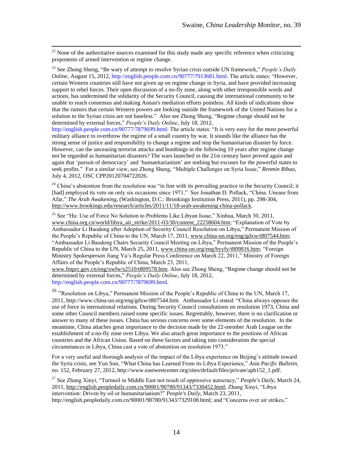$22$  None of the authoritative sources examined for this study made any specific reference when criticizing proponents of armed intervention or regime change.

<sup>23</sup> See Zhong Sheng, "Be wary of attempt to resolve Syrian crisis outside UN framework," *People's Daily Online*, August 15, 2012, [http://english.people.com.cn/90777/7913681.html.](http://english.people.com.cn/90777/7913681.html) The article states: "However, certain Western countries still have not given up on regime change in Syria, and have provided increasing support to rebel forces. Their open discussion of a no-fly zone, along with other irresponsible words and actions, has undermined the solidarity of the Security Council, causing the international community to be unable to reach consensus and making Annan's mediation efforts pointless. All kinds of indications show that the rumors that certain Western powers are looking outside the framework of the United Nations for a solution to the Syrian crisis are not baseless." Also see Zhong Sheng, "Regime change should not be determined by external forces," People's Daily Online, July 18, 2012,

[http://english.people.com.cn/90777/7879699.html.](http://english.people.com.cn/90777/7879699.html) The article states: "It is very easy for the most powerful military alliance to overthrow the regime of a small country by war. It sounds like the alliance has the strong sense of justice and responsibility to change a regime and stop the humanitarian disaster by force. However, can the unceasing terrorist attacks and bombings in the following 10 years after regime change not be regarded as humanitarian disasters? The wars launched in the 21st century have proved again and again that 'pursuit of democracy' and 'humanitarianism' are nothing but excuses for the powerful states to seek profits." For a similar view, see Zhong Sheng, "Multiple Challenges on Syria Issue," *Renmin Ribao*, July 4, 2012, OSC CPP20120704722026.

<sup>24</sup> China's abstention from the resolution was "in line with its prevailing practice in the Security Council; it [had] employed its veto on only six occasions since 1971." See Jonathan D. Pollack, "China: Unease from Afar,‖ *The Arab Awakening*, (Washington, D.C.: Brookings Institution Press, 2011)*,* pp. 298-304, [http://www.brookings.edu/research/articles/2011/11/18-arab-awakening-china-pollack.](http://www.brookings.edu/research/articles/2011/11/18-arab-awakening-china-pollack)

<sup>25</sup> See "Hu: Use of Force No Solution to Problems Like Libyan Issue," Xinhua, March 30, 2011, www.china.org.cn/world/libya\_air\_strike/2011-03/30/content\_22258604.htm; "Explanation of Vote by Ambassador Li Baodong after Adoption of Security Council Resolution on Libya," Permanent Mission of the People's Republic of China to the UN, March 17, 2011, www.china-un.org/eng/gdxw/t807544.htm; ―Ambassador Li Baodong Chairs Security Council Meeting on Libya,‖ Permanent Mission of the People's Republic of China to the UN, March 25, 2011, www.china-un.org/eng/hyyfy/t809816.htm; "Foreign Ministry Spokesperson Jiang Yu's Regular Press Conference on March 22, 2011," Ministry of Foreign Affairs of the People's Republic of China, March 23, 2011,

[www.fmprc.gov.cn/eng/xwfw/s2510/t809578.htm.](http://www.fmprc.gov.cn/eng/xwfw/s2510/t809578.htm) Also see Zhong Sheng, "Regime change should not be determined by external forces," People's Daily Online, July 18, 2012,

[http://english.people.com.cn/90777/7879699.html.](http://english.people.com.cn/90777/7879699.html)

 $\overline{a}$ 

<sup>26</sup> "Resolution on Libya," Permanent Mission of the People's Republic of China to the UN, March 17, 2011, [http://www.china-un.org/eng/gdxw/t807544.htm.](http://www.china-un.org/eng/gdxw/t807544.htm) Ambassador Li stated: "China always opposes the use of force in international relations. During Security Council consultations on resolution 1973, China and some other Council members raised some specific issues. Regrettably, however, there is no clarification or answer to many of these issues. China has serious concerns over some elements of the resolution. In the meantime, China attaches great importance to the decision made by the 22-member Arab League on the establishment of a no-fly zone over Libya. We also attach great importance to the positions of African countries and the African Union. Based on these factors and taking into consideration the special circumstances in Libya, China cast a vote of abstention on resolution 1973."

For a very useful and thorough analysis of the impact of the Libya experience on Beijing's attitude toward the Syria crisis, see Yun Sun, "What China has Learned From its Libya Experience," *Asia Pacific Bulletin*, no. 152, February 27, 2012[, http://www.eastwestcenter.org/sites/default/files/private/apb152\\_1.pdf.](http://www.eastwestcenter.org/sites/default/files/private/apb152_1.pdf)

<sup>27</sup> See Zhang Xinyi, "Turmoil in Middle East not result of oppressive autocracy," *People's Daily*, March 24, 2011, [http://english.peopledaily.com.cn/90001/90780/91343/7330452.html;](http://english.peopledaily.com.cn/90001/90780/91343/7330452.html) Zhang Xinyi, "Libya intervention: Driven by oil or humanitarianism?" People's Daily, March 23, 2011, [http://english.peopledaily.com.cn/90001/90780/91343/7329108.html;](http://english.peopledaily.com.cn/90001/90780/91343/7329108.html) and "Concerns over air strikes,"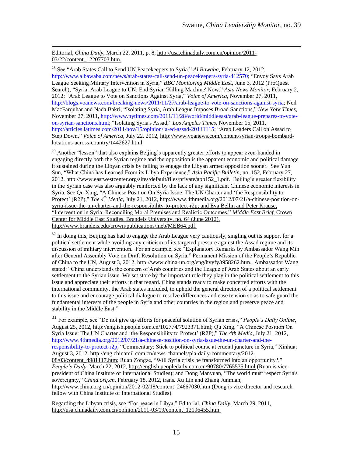Editorial, *China Daily*, March 22, 2011, p. 8[, http://usa.chinadaily.com.cn/opinion/2011-](http://usa.chinadaily.com.cn/opinion/2011-03/22/content_12207703.htm) [03/22/content\\_12207703.htm.](http://usa.chinadaily.com.cn/opinion/2011-03/22/content_12207703.htm)

 $\overline{a}$ 

<sup>28</sup> See "Arab States Call to Send UN Peacekeepers to Syria," *Al Bawaba*, February 12, 2012, [http://www.albawaba.com/news/arab-states-call-send-un-peacekeepers-syria-412570;](http://www.albawaba.com/news/arab-states-call-send-un-peacekeepers-syria-412570) "Envoy Says Arab League Seeking Military Intervention in Syria," BBC Monitoring Middle East, June 3, 2012 (ProQuest Search); "Syria: Arab League to UN: End Syrian 'Killing Machine' Now," Asia News Monitor, February 2, 2012; ―Arab League to Vote on Sanctions Against Syria,‖ *Voice of America*, November 27, 2011, [http://blogs.voanews.com/breaking-news/2011/11/27/arab-league-to-vote-on-sanctions-against-syria;](http://blogs.voanews.com/breaking-news/2011/11/27/arab-league-to-vote-on-sanctions-against-syria) Neil MacFarquhar and Nada Bakri, "Isolating Syria, Arab League Imposes Broad Sanctions," *New York Times*, November 27, 2011[, http://www.nytimes.com/2011/11/28/world/middleeast/arab-league-prepares-to-vote](http://www.nytimes.com/2011/11/28/world/middleeast/arab-league-prepares-to-vote-on-syrian-sanctions.html)[on-syrian-sanctions.html;](http://www.nytimes.com/2011/11/28/world/middleeast/arab-league-prepares-to-vote-on-syrian-sanctions.html) "Isolating Syria's Assad," Los Angeles Times, November 15, 2011, [http://articles.latimes.com/2011/nov/15/opinion/la-ed-assad-20111115;](http://articles.latimes.com/2011/nov/15/opinion/la-ed-assad-20111115) "Arab Leaders Call on Assad to Step Down," *Voice of America, July 22, 2012, [http://www.voanews.com/content/syrian-troops-bombard](http://www.voanews.com/content/syrian-troops-bombard-locations-across-country/1442627.html)*[locations-across-country/1442627.html.](http://www.voanews.com/content/syrian-troops-bombard-locations-across-country/1442627.html)

 $29$  Another "lesson" that also explains Beijing's apparently greater efforts to appear even-handed in engaging directly both the Syrian regime and the opposition is the apparent economic and political damage it sustained during the Libyan crisis by failing to engage the Libyan armed opposition sooner. See Yun Sun, "What China has Learned From its Libya Experience," *Asia Pacific Bulletin*, no. 152, February 27, 2012, [http://www.eastwestcenter.org/sites/default/files/private/apb152\\_1.pdf.](http://www.eastwestcenter.org/sites/default/files/private/apb152_1.pdf) Beijing's greater flexibility in the Syrian case was also arguably reinforced by the lack of any significant Chinese economic interests in Syria. See Qu Xing, "A Chinese Position On Syria Issue: The UN Charter and 'the Responsibility to Protect' (R2P)," *The 4<sup>th</sup> Media*, July 21, 2012, [http://www.4thmedia.org/2012/07/21/a-chinese-position-on](http://www.4thmedia.org/2012/07/21/a-chinese-position-on-syria-issue-the-un-charter-and-the-responsibility-to-protect-r2p/)[syria-issue-the-un-charter-and-the-responsibility-to-protect-r2p;](http://www.4thmedia.org/2012/07/21/a-chinese-position-on-syria-issue-the-un-charter-and-the-responsibility-to-protect-r2p/) and Eva Bellin and Peter Krause, ―Intervention in Syria: Reconciling Moral Premises and Realistic Outcomes,‖ *Middle East Brief*, Crown Center for Middle East Studies, Brandeis University, no. 64 (June 2012), http://www.brandeis.edu/crown/publications/meb/MEB64.pdf.

 $30$  In doing this, Beijing has had to engage the Arab League very cautiously, singling out its support for a political settlement while avoiding any criticism of its targeted pressure against the Assad regime and its discussion of military intervention. For an example, see "Explanatory Remarks by Ambassador Wang Min after General Assembly Vote on Draft Resolution on Syria," Permanent Mission of the People's Republic of China to the UN, August 3, 2012, [http://www.china-un.org/eng/hyyfy/t958262.htm.](http://www.china-un.org/eng/hyyfy/t958262.htm) Ambassador Wang stated: "China understands the concern of Arab countries and the League of Arab States about an early settlement to the Syrian issue. We set store by the important role they play in the political settlement to this issue and appreciate their efforts in that regard. China stands ready to make concerted efforts with the international community, the Arab states included, to uphold the general direction of a political settlement to this issue and encourage political dialogue to resolve differences and ease tension so as to safe guard the fundamental interests of the people in Syria and other countries in the region and preserve peace and stability in the Middle East."

<sup>31</sup> For example, see "Do not give up efforts for peaceful solution of Syrian crisis," People's Daily Online, August 25, 2012, [http://english.people.com.cn/102774/7923371.html;](http://english.people.com.cn/102774/7923371.html) Qu Xing, "A Chinese Position On Syria Issue: The UN Charter and 'the Responsibility to Protect' (R2P)," *The 4th Media*, July 21, 2012, [http://www.4thmedia.org/2012/07/21/a-chinese-position-on-syria-issue-the-un-charter-and-the](http://www.4thmedia.org/2012/07/21/a-chinese-position-on-syria-issue-the-un-charter-and-the-responsibility-to-protect-r2p)[responsibility-to-protect-r2p;](http://www.4thmedia.org/2012/07/21/a-chinese-position-on-syria-issue-the-un-charter-and-the-responsibility-to-protect-r2p) "Commentary: Stick to political course at crucial juncture in Syria," Xinhua, August 3, 2012, [http://eng.chinamil.com.cn/news-channels/pla-daily-commentary/2012-](http://eng.chinamil.com.cn/news-channels/pla-daily-commentary/2012-08/03/content_4981117.htm) 08/03/content 4981117.htm; Ruan Zongze, "Will Syria crisis be transformed into an opportunity?," *People's Daily*, March 22, 2012,<http://english.peopledaily.com.cn/90780/7765535.html> (Ruan is vicepresident of China Institute of International Studies); and Dong Manyuan, "The world must respect Syria's sovereignty," *China.org.cn*, February 18, 2012, trans. Xu Lin and Zhang Junmian, [http://www.china.org.cn/opinion/2012-02/18/content\\_24667030.htm](http://www.china.org.cn/opinion/2012-02/18/content_24667030.htm) (Dong is vice director and research fellow with China Institute of International Studies).

Regarding the Libyan crisis, see "For peace in Libya," Editorial, *China Daily*, March 29, 2011, [http://usa.chinadaily.com.cn/opinion/2011-03/19/content\\_12196455.htm.](http://usa.chinadaily.com.cn/opinion/2011-03/19/content_12196455.htm)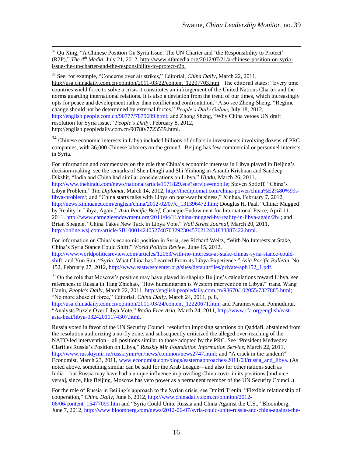<sup>32</sup> Qu Xing, "A Chinese Position On Syria Issue: The UN Charter and 'the Responsibility to Protect'  $(R2P)$ ," *The 4<sup>th</sup> Media*, July 21, 2012, [http://www.4thmedia.org/2012/07/21/a-chinese-position-on-syria](http://www.4thmedia.org/2012/07/21/a-chinese-position-on-syria-issue-the-un-charter-and-the-responsibility-to-protect-r2p/)[issue-the-un-charter-and-the-responsibility-to-protect-r2p.](http://www.4thmedia.org/2012/07/21/a-chinese-position-on-syria-issue-the-un-charter-and-the-responsibility-to-protect-r2p/)

 $\overline{a}$ 

<sup>33</sup> See, for example, "Concerns over air strikes," Editorial, *China Daily*, March 22, 2011, [http://usa.chinadaily.com.cn/opinion/2011-03/22/content\\_12207703.htm.](http://usa.chinadaily.com.cn/opinion/2011-03/22/content_12207703.htm) The editorial states: "Every time countries wield force to solve a crisis it constitutes an infringement of the United Nations Charter and the norms guarding international relations. It is also a deviation from the trend of our times, which increasingly opts for peace and development rather than conflict and confrontation." Also see Zhong Sheng, "Regime change should not be determined by external forces," People's Daily Online, July 18, 2012, [http://english.people.com.cn/90777/7879699.html;](http://english.people.com.cn/90777/7879699.html) and Zhong Sheng, "Why China vetoes UN draft resolution for Syria issue," People's Daily, February 8, 2012, http://english.peopledaily.com.cn/90780/7723539.html.

<sup>34</sup> Chinese economic interests in Libya included billions of dollars in investments involving dozens of PRC companies, with 36,000 Chinese laborers on the ground. Beijing has few commercial or personnel interests in Syria.

For information and commentary on the role that China's economic interests in Libya played in Beijing's decision-making, see the remarks of Shen Dingli and Shi Yinhong in Ananth Krishnan and Sandeep Dikshit, "India and China had similar considerations on Libya," *Hindu*, March 26, 2011, [http://www.thehindu.com/news/national/article1571829.ece?service=mobile;](http://www.thehindu.com/news/national/article1571829.ece?service=mobile) Steven Sotloff, "China's Libya Problem," *The Diplomat*, March 14, 2012, [http://thediplomat.com/china-power/china%E2%80%99s](http://thediplomat.com/china-power/china%E2%80%99s-libya-problem/)[libya-problem/;](http://thediplomat.com/china-power/china%E2%80%99s-libya-problem/) and "China starts talks with Libya on post-war business," Xinhua, February 7, 2012, [http://news.xinhuanet.com/english/china/2012-02/07/c\\_131396472.htm;](http://news.xinhuanet.com/english/china/2012-02/07/c_131396472.htm) Douglas H. Paal, "China: Mugged by Reality in Libya, Again," *Asia Pacific Brief*, Carnegie Endowment for International Peace, April 11, 2011, [http://www.carnegieendowment.org/2011/04/11/china-mugged-by-reality-in-libya-again/2h4;](http://www.carnegieendowment.org/2011/04/11/china-mugged-by-reality-in-libya-again/2h4) and Brian Spegele, "China Takes New Tack in Libya Vote," *Wall Street Journal*, March 20, 2011, [http://online.wsj.com/article/SB10001424052748703292304576212431833887422.html.](http://online.wsj.com/article/SB10001424052748703292304576212431833887422.html)

For information on China's economic position in Syria, see Richard Weitz, "With No Interests at Stake, China's Syria Stance Could Shift,‖ *World Politics Review*, June 15, 2012, [http://www.worldpoliticsreview.com/articles/12063/with-no-interests-at-stake-chinas-syria-stance-could](http://www.worldpoliticsreview.com/articles/12063/with-no-interests-at-stake-chinas-syria-stance-could-shift)[shift;](http://www.worldpoliticsreview.com/articles/12063/with-no-interests-at-stake-chinas-syria-stance-could-shift) and Yun Sun, "Syria: What China has Learned From its Libya Experience," *Asia Pacific Bulletin*, No.

152, February 27, 2012[, http://www.eastwestcenter.org/sites/default/files/private/apb152\\_1.pdf.](http://www.eastwestcenter.org/sites/default/files/private/apb152_1.pdf)

<sup>35</sup> On the role that Moscow's position may have played in shaping Beijing's calculations toward Libya, see references to Russia in Tang Zhichao, "How humanitarian is Western intervention in Libya?" trans. Wang Hanlu, *People's Daily*, March 22, 2011[, http://english.peopledaily.com.cn/98670/102055/7327885.html;](http://english.peopledaily.com.cn/98670/102055/7327885.html) ―No more abuse of force,‖ Editorial, *China Daily*, March 24, 2011, p. 8,

[http://usa.chinadaily.com.cn/opinion/2011-03/24/content\\_12220671.htm;](http://usa.chinadaily.com.cn/opinion/2011-03/24/content_12220671.htm) and Parameswaran Ponnudurai, ―Analysts Puzzle Over Libya Vote,‖ *Radio Free Asia*, March 24, 2011[, http://www.rfa.org/english/east](http://www.rfa.org/english/east-asia-beat/libya-03242011174307.html)[asia-beat/libya-03242011174307.html.](http://www.rfa.org/english/east-asia-beat/libya-03242011174307.html) 

Russia voted in favor of the UN Security Council resolution imposing sanctions on Qaddafi, abstained from the resolution authorizing a no-fly zone, and subsequently criticized the alleged over-reaching of the NATO-led intervention—all positions similar to those adopted by the PRC. See "President Medvedev Clarifies Russia's Position on Libya,‖ *Russkiy Mir Foundation Information Service*, March 22, 2011, [http://www.russkiymir.ru/russkiymir/en/news/common/news2747.html;](http://www.russkiymir.ru/russkiymir/en/news/common/news2747.html) and "A crack in the tandem?" Economist, March 23, 2011, [www.economist.com/blogs/easternapproaches/2011/03/russia\\_and\\_libya.](http://www.economist.com/blogs/easternapproaches/2011/03/russia_and_libya) (As noted above, something similar can be said for the Arab League—and also for other nations such as India—but Russia may have had a unique influence in providing China cover in its positions [and vice versa], since, like Beijing, Moscow has veto power as a permanent member of the UN Security Council.)

For the role of Russia in Beijing's approach to the Syrian crisis, see Dmitri Trenin, "Flexible relationship of cooperation," *China Daily*, June 6, 2012[, http://www.chinadaily.com.cn/opinion/2012-](http://www.chinadaily.com.cn/opinion/2012-06/06/content_15477099.htm) 06/06/content 15477099.htm and "Syria Could Unite Russia and China Against the U.S.," Bloomberg, June 7, 2012, [http://www.bloomberg.com/news/2012-06-07/syria-could-unite-russia-and-china-against-the-](http://www.bloomberg.com/news/2012-06-07/syria-could-unite-russia-and-china-against-the-u-s-.html)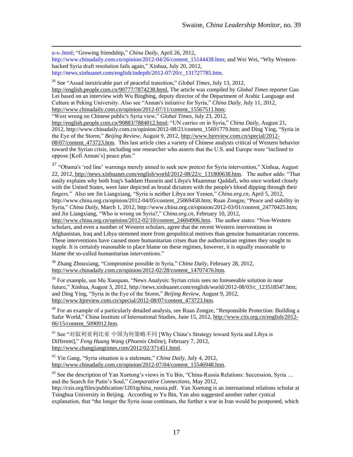[u-s-.html;](http://www.bloomberg.com/news/2012-06-07/syria-could-unite-russia-and-china-against-the-u-s-.html) "Growing friendship," *China Daily*, April 26, 2012, http://www.chinadaily.com.cn/opinion/2012-04/26/content 15144438.htm; and Wei Wei, "Why Westernbacked Syria draft resolution fails again," Xinhua, July 20, 2012, [http://news.xinhuanet.com/english/indepth/2012-07/20/c\\_131727785.htm.](http://news.xinhuanet.com/english/indepth/2012-07/20/c_131727785.htm)

<sup>36</sup> See "Assad inextricable part of peaceful transition," *Global Times*, July 13, 2012,

[http://english.people.com.cn/90777/7874238.html.](http://english.people.com.cn/90777/7874238.html) The article was compiled by *Global Times* reporter Gao Lei based on an interview with Wu Bingbing, deputy director of the Department of Arabic Language and Culture at Peking University. Also see "Annan's initiative for Syria," *China Daily*, July 11, 2012, [http://www.chinadaily.com.cn/opinion/2012-07/11/content\\_15567511.htm;](http://www.chinadaily.com.cn/opinion/2012-07/11/content_15567511.htm)

―West wrong on Chinese public's Syria view,‖ *Global Times*, July 23, 2012,

 $\overline{a}$ 

[http://english.people.com.cn/90883/7884012.html;](http://english.people.com.cn/90883/7884012.html) "UN carries on in Syria," *China Daily*, August 21, 2012, [http://www.chinadaily.com.cn/opinion/2012-08/21/content\\_15691779.htm;](http://www.chinadaily.com.cn/opinion/2012-08/21/content_15691779.htm) and Ding Ying, "Syria in the Eye of the Storm," *Beijing Review*, August 9, 2012, [http://www.bjreview.com.cn/special/2012-](http://www.bjreview.com.cn/special/2012-08/07/content_473723.htm) 08/07/content 473723.htm. This last article cites a variety of Chinese analysts critical of Western behavior toward the Syrian crisis, including one researcher who asserts that the U.S. and Europe were "inclined to oppose [Kofi Annan's] peace plan."

<sup>37</sup> "Obama's 'red line' warnings merely aimed to seek new pretext for Syria intervention," Xinhua, August 22, 2012, http://news.xinhuanet.com/english/world/2012-08/22/c 131800638.htm. The author adds: "That easily explains why both Iraq's Saddam Hussein and Libya's Muammar Qaddafi, who once worked closely with the United States, were later depicted as brutal dictators with the people's blood dipping through their fingers.‖ Also see Jin Liangxiang, ―Syria is neither Libya nor Yemen,‖ *China.org.cn*, April 5, 2012, [http://www.china.org.cn/opinion/2012-04/05/content\\_25069458.htm;](http://www.china.org.cn/opinion/2012-04/05/content_25069458.htm) Ruan Zongze, "Peace and stability in Syria," *China Daily*, March 1, 2012, [http://www.china.org.cn/opinion/2012-03/01/content\\_24770425.htm;](http://www.china.org.cn/opinion/2012-03/01/content_24770425.htm) and Jin Liangxiang, "Who is wrong on Syria?," *China.org.cn*, February 10, 2012,

[http://www.china.org.cn/opinion/2012-02/10/content\\_24604906.htm.](http://www.china.org.cn/opinion/2012-02/10/content_24604906.htm) The author states: "Non-Western scholars, and even a number of Western scholars, agree that the recent Western interventions in Afghanistan, Iraq and Libya stemmed more from geopolitical motives than genuine humanitarian concerns. These interventions have caused more humanitarian crises than the authoritarian regimes they sought to topple. It is certainly reasonable to place blame on these regimes, however, it is equally reasonable to blame the so-called humanitarian interventions."

<sup>38</sup> Zhang Zhouxiang, "Compromise possible in Syria," *China Daily*, February 28, 2012, [http://www.chinadaily.com.cn/opinion/2012-02/28/content\\_14707476.htm.](http://www.chinadaily.com.cn/opinion/2012-02/28/content_14707476.htm)

<sup>39</sup> For example, see Mu Xuequan, "News Analysis: Syrian crisis sees no foreseeable solution in near future," Xinhua, August 3, 2012, [http://news.xinhuanet.com/english/world/2012-08/03/c\\_123518547.htm;](http://news.xinhuanet.com/english/world/2012-08/03/c_123518547.htm) and Ding Ying, "Syria in the Eye of the Storm," *Beijing Review*, August 9, 2012, [http://www.bjreview.com.cn/special/2012-08/07/content\\_473723.htm.](http://www.bjreview.com.cn/special/2012-08/07/content_473723.htm)

<sup>40</sup> For an example of a particularly detailed analysis, see Ruan Zongze, "Responsible Protection: Building a Safer World," China Institute of International Studies, June 15, 2012, [http://www.ciis.org.cn/english/2012-](http://www.ciis.org.cn/english/2012-06/15/content_5090912.htm) [06/15/content\\_5090912.htm.](http://www.ciis.org.cn/english/2012-06/15/content_5090912.htm)

 $^{41}$  See "对叙利亚利比亚 中国为何策略不同 [Why China's Strategy toward Syria and Libya is Different]," *Feng Huang Wang* (*Phoenix Online*), February 7, 2012, [http://www.changjiangtimes.com/2012/02/371451.html.](http://www.changjiangtimes.com/2012/02/371451.html)

<sup>42</sup> Yin Gang, "Syria situation is a stalemate," *China Daily*, July 4, 2012, [http://www.chinadaily.com.cn/opinion/2012-07/04/content\\_15546948.htm.](http://www.chinadaily.com.cn/opinion/2012-07/04/content_15546948.htm)

<sup>43</sup> See the description of Yan Xuetong's views in Yu Bin, "China-Russia Relations: Succession, Syria ... and the Search for Putin's Soul," *Comparative Connections*, May 2012,

[http://csis.org/files/publication/1201qchina\\_russia.pdf.](http://csis.org/files/publication/1201qchina_russia.pdf) Yan Xuetong is an international relations scholar at Tsinghua University in Beijing. According to Yu Bin, Yan also suggested another rather cynical explanation, that "the longer the Syria issue continues, the further a war in Iran would be postponed, which